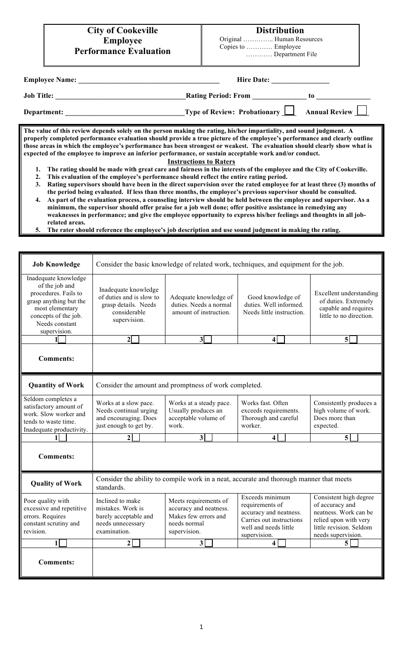### **Distribution**

 Original ………….. Human Resources Copies to ………… Employee ………… Department File

| <b>Employee Name:</b> | <b>Hire Date:</b>            |                  |
|-----------------------|------------------------------|------------------|
| <b>Job Title:</b>     | <b>Rating Period: From</b>   | tΩ               |
| Department:           | Type of Review: Probationary | Annual Review __ |

**The value of this review depends solely on the person making the rating, his/her impartiality, and sound judgment. A properly completed performance evaluation should provide a true picture of the employee's performance and clearly outline those areas in which the employee's performance has been strongest or weakest. The evaluation should clearly show what is expected of the employee to improve an inferior performance, or sustain acceptable work and/or conduct.**

#### **Instructions to Raters**

- **1. The rating should be made with great care and fairness in the interests of the employee and the City of Cookeville.**
- **2. This evaluation of the employee's performance should reflect the entire rating period. 3. Rating supervisors should have been in the direct supervision over the rated employee for at least three (3) months of**
- **the period being evaluated. If less than three months, the employee's previous supervisor should be consulted. 4. As part of the evaluation process, a counseling interview should be held between the employee and supervisor. As a**
- **minimum, the supervisor should offer praise for a job well done; offer positive assistance in remedying any weaknesses in performance; and give the employee opportunity to express his/her feelings and thoughts in all jobrelated areas.**
- **5. The rater should reference the employee's job description and use sound judgment in making the rating.**

| <b>Job Knowledge</b>                                                                                                                                                  | Consider the basic knowledge of related work, techniques, and equipment for the job.                     |                                                                                                         |                                                                                                                                   |                                                                                                                                              |  |
|-----------------------------------------------------------------------------------------------------------------------------------------------------------------------|----------------------------------------------------------------------------------------------------------|---------------------------------------------------------------------------------------------------------|-----------------------------------------------------------------------------------------------------------------------------------|----------------------------------------------------------------------------------------------------------------------------------------------|--|
| Inadequate knowledge<br>of the job and<br>procedures. Fails to<br>grasp anything but the<br>most elementary<br>concepts of the job.<br>Needs constant<br>supervision. | Inadequate knowledge<br>of duties and is slow to<br>grasp details. Needs<br>considerable<br>supervision. | Adequate knowledge of<br>duties. Needs a normal<br>amount of instruction.                               | Good knowledge of<br>duties. Well informed.<br>Needs little instruction.                                                          | <b>Excellent</b> understanding<br>of duties. Extremely<br>capable and requires<br>little to no direction.                                    |  |
| 11                                                                                                                                                                    | $\overline{2}$                                                                                           | 3 <sup>5</sup>                                                                                          | $\vert 4 \vert$                                                                                                                   | $\overline{\mathbf{5}}$                                                                                                                      |  |
| <b>Comments:</b>                                                                                                                                                      |                                                                                                          |                                                                                                         |                                                                                                                                   |                                                                                                                                              |  |
| <b>Quantity of Work</b>                                                                                                                                               |                                                                                                          | Consider the amount and promptness of work completed.                                                   |                                                                                                                                   |                                                                                                                                              |  |
| Seldom completes a<br>satisfactory amount of<br>work. Slow worker and<br>tends to waste time.<br>Inadequate productivity.                                             | Works at a slow pace.<br>Needs continual urging<br>and encouraging. Does<br>just enough to get by.       | Works at a steady pace.<br>Usually produces an<br>acceptable volume of<br>work.                         | Works fast, Often<br>exceeds requirements.<br>Thorough and careful<br>worker.                                                     | Consistently produces a<br>high volume of work.<br>Does more than<br>expected.                                                               |  |
|                                                                                                                                                                       | $\overline{2}$                                                                                           | 3 <sup>1</sup>                                                                                          | $\overline{\mathbf{4}}$                                                                                                           | 5 <sup>5</sup>                                                                                                                               |  |
| <b>Comments:</b>                                                                                                                                                      |                                                                                                          |                                                                                                         |                                                                                                                                   |                                                                                                                                              |  |
| <b>Quality of Work</b>                                                                                                                                                | standards.                                                                                               | Consider the ability to compile work in a neat, accurate and thorough manner that meets                 |                                                                                                                                   |                                                                                                                                              |  |
| Poor quality with<br>excessive and repetitive<br>errors. Requires<br>constant scrutiny and<br>revision.                                                               | Inclined to make<br>mistakes. Work is<br>barely acceptable and<br>needs unnecessary<br>examination.      | Meets requirements of<br>accuracy and neatness.<br>Makes few errors and<br>needs normal<br>supervision. | Exceeds minimum<br>requirements of<br>accuracy and neatness.<br>Carries out instructions<br>well and needs little<br>supervision. | Consistent high degree<br>of accuracy and<br>neatness. Work can be<br>relied upon with very<br>little revision. Seldom<br>needs supervision. |  |
| $1\vert$                                                                                                                                                              | $\overline{2}$                                                                                           | $\overline{\mathbf{3}}$                                                                                 | $\overline{\mathbf{4}}$                                                                                                           | 5                                                                                                                                            |  |
| <b>Comments:</b>                                                                                                                                                      |                                                                                                          |                                                                                                         |                                                                                                                                   |                                                                                                                                              |  |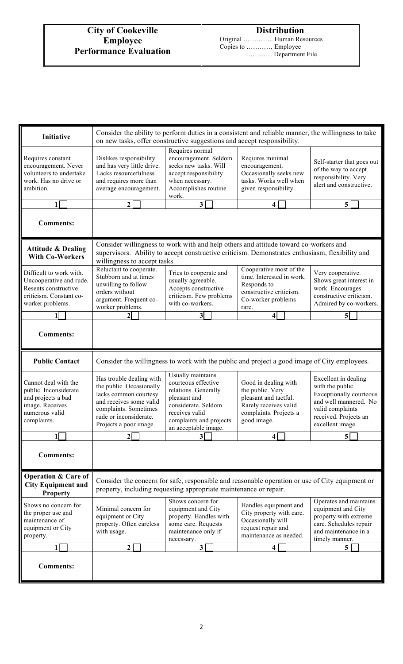| Initiative                                                                                                                | Consider the ability to perform duties in a consistent and reliable manner, the willingness to take<br>on new tasks, offer constructive suggestions and accept responsibility.        |                                                                                                                                                                              |                                                                                                                                                                                         |                                                                                                                                                                      |
|---------------------------------------------------------------------------------------------------------------------------|---------------------------------------------------------------------------------------------------------------------------------------------------------------------------------------|------------------------------------------------------------------------------------------------------------------------------------------------------------------------------|-----------------------------------------------------------------------------------------------------------------------------------------------------------------------------------------|----------------------------------------------------------------------------------------------------------------------------------------------------------------------|
| Requires constant<br>encouragement. Never<br>volunteers to undertake<br>work. Has no drive or<br>ambition.                | Dislikes responsibility<br>and has very little drive.<br>Lacks resourcefulness<br>and requires more than<br>average encouragement.                                                    | Requires normal<br>encouragement. Seldom<br>seeks new tasks. Will<br>accept responsibility<br>when necessary.<br>Accomplishes routine<br>work.                               | Requires minimal<br>encouragement.<br>Occasionally seeks new<br>tasks. Works well when<br>given responsibility.                                                                         |                                                                                                                                                                      |
| 1                                                                                                                         | $\mathbf{2}$                                                                                                                                                                          | 3                                                                                                                                                                            | 4                                                                                                                                                                                       | 5                                                                                                                                                                    |
| <b>Comments:</b>                                                                                                          |                                                                                                                                                                                       |                                                                                                                                                                              |                                                                                                                                                                                         |                                                                                                                                                                      |
| <b>Attitude &amp; Dealing</b><br><b>With Co-Workers</b>                                                                   | willingness to accept tasks.                                                                                                                                                          |                                                                                                                                                                              | Consider willingness to work with and help others and attitude toward co-workers and<br>supervisors. Ability to accept constructive criticism. Demonstrates enthusiasm, flexibility and |                                                                                                                                                                      |
| Difficult to work with.<br>Uncooperative and rude.<br>Resents constructive<br>criticism. Constant co-<br>worker problems. | Reluctant to cooperate.<br>Stubborn and at times<br>unwilling to follow<br>orders without<br>argument. Frequent co-<br>worker problems.                                               | Tries to cooperate and<br>usually agreeable.<br>Accepts constructive<br>criticism. Few problems<br>with co-workers.                                                          | Cooperative most of the<br>time. Interested in work.<br>Responds to<br>constructive criticism.<br>Co-worker problems<br>rare.                                                           | Very cooperative.<br>Shows great interest in<br>work. Encourages<br>constructive criticism.<br>Admired by co-workers.                                                |
| 1                                                                                                                         |                                                                                                                                                                                       | $3\vert$                                                                                                                                                                     | 4                                                                                                                                                                                       | $\overline{5}$                                                                                                                                                       |
| <b>Comments:</b>                                                                                                          |                                                                                                                                                                                       |                                                                                                                                                                              |                                                                                                                                                                                         |                                                                                                                                                                      |
| <b>Public Contact</b>                                                                                                     |                                                                                                                                                                                       |                                                                                                                                                                              | Consider the willingness to work with the public and project a good image of City employees.                                                                                            |                                                                                                                                                                      |
| Cannot deal with the<br>public. Inconsiderate<br>and projects a bad<br>image. Receives<br>numerous valid<br>complaints.   | Has trouble dealing with<br>the public. Occasionally<br>lacks common courtesy<br>and receives some valid<br>complaints. Sometimes<br>rude or inconsiderate.<br>Projects a poor image. | Usually maintains<br>courteous effective<br>relations. Generally<br>pleasant and<br>considerate. Seldom<br>receives valid<br>complaints and projects<br>an acceptable image. | Good in dealing with<br>the public. Very<br>pleasant and tactful.<br>Rarely receives valid<br>complaints. Projects a<br>good image.                                                     | Excellent in dealing<br>with the public.<br><b>Exceptionally courteous</b><br>and well mannered. No<br>valid complaints<br>received. Projects an<br>excellent image. |
| 1                                                                                                                         | $\mathbf{2}$                                                                                                                                                                          | 3 <sup>1</sup>                                                                                                                                                               | 4                                                                                                                                                                                       | 5                                                                                                                                                                    |
| <b>Comments:</b>                                                                                                          |                                                                                                                                                                                       |                                                                                                                                                                              |                                                                                                                                                                                         |                                                                                                                                                                      |
| <b>Operation &amp; Care of</b><br><b>City Equipment and</b><br><b>Property</b>                                            | Consider the concern for safe, responsible and reasonable operation or use of City equipment or<br>property, including requesting appropriate maintenance or repair.                  |                                                                                                                                                                              |                                                                                                                                                                                         |                                                                                                                                                                      |
| Shows no concern for<br>the proper use and<br>maintenance of<br>equipment or City<br>property.                            | Minimal concern for<br>equipment or City<br>property. Often careless<br>with usage.                                                                                                   | Shows concern for<br>equipment and City<br>property. Handles with<br>some care. Requests<br>maintenance only if<br>necessary.                                                | Handles equipment and<br>City property with care.<br>Occasionally will<br>request repair and<br>maintenance as needed.                                                                  | Operates and maintains<br>equipment and City<br>property with extreme<br>care. Schedules repair<br>and maintenance in a<br>timely manner.                            |
|                                                                                                                           | 2                                                                                                                                                                                     | $\overline{\mathbf{3}}$                                                                                                                                                      | 4                                                                                                                                                                                       | 5                                                                                                                                                                    |
| <b>Comments:</b>                                                                                                          |                                                                                                                                                                                       |                                                                                                                                                                              |                                                                                                                                                                                         |                                                                                                                                                                      |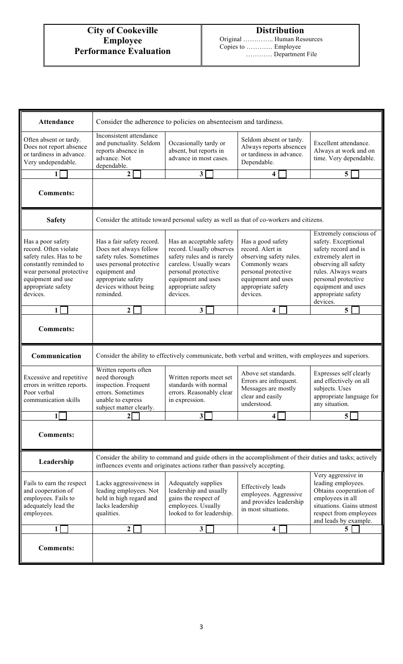Original ………….. Human Resources Copies to ………… Employee ………… Department File

| Attendance                                                                                                                                                                         | Consider the adherence to policies on absenteeism and tardiness.                                                                                                                                                                                                                                                                                                                                                                                                                                                           |                                                                                                                                                                                              |                                                                                                                                                                   |                                                                                                                                                                                                                           |
|------------------------------------------------------------------------------------------------------------------------------------------------------------------------------------|----------------------------------------------------------------------------------------------------------------------------------------------------------------------------------------------------------------------------------------------------------------------------------------------------------------------------------------------------------------------------------------------------------------------------------------------------------------------------------------------------------------------------|----------------------------------------------------------------------------------------------------------------------------------------------------------------------------------------------|-------------------------------------------------------------------------------------------------------------------------------------------------------------------|---------------------------------------------------------------------------------------------------------------------------------------------------------------------------------------------------------------------------|
| Often absent or tardy.<br>Does not report absence<br>or tardiness in advance.<br>Very undependable.                                                                                | Inconsistent attendance<br>and punctuality. Seldom<br>reports absence in<br>advance. Not<br>dependable.                                                                                                                                                                                                                                                                                                                                                                                                                    | Occasionally tardy or<br>absent, but reports in<br>advance in most cases.                                                                                                                    | Seldom absent or tardy.<br>Always reports absences<br>or tardiness in advance.<br>Dependable.                                                                     | Excellent attendance.<br>Always at work and on<br>time. Very dependable.                                                                                                                                                  |
| 1                                                                                                                                                                                  | $\mathbf 2$                                                                                                                                                                                                                                                                                                                                                                                                                                                                                                                | 3                                                                                                                                                                                            | 4                                                                                                                                                                 | 5                                                                                                                                                                                                                         |
| <b>Comments:</b>                                                                                                                                                                   |                                                                                                                                                                                                                                                                                                                                                                                                                                                                                                                            |                                                                                                                                                                                              |                                                                                                                                                                   |                                                                                                                                                                                                                           |
| <b>Safety</b>                                                                                                                                                                      |                                                                                                                                                                                                                                                                                                                                                                                                                                                                                                                            |                                                                                                                                                                                              | Consider the attitude toward personal safety as well as that of co-workers and citizens.                                                                          |                                                                                                                                                                                                                           |
| Has a poor safety<br>record. Often violate<br>safety rules. Has to be<br>constantly reminded to<br>wear personal protective<br>equipment and use<br>appropriate safety<br>devices. | Has a fair safety record.<br>Does not always follow<br>safety rules. Sometimes<br>uses personal protective<br>equipment and<br>appropriate safety<br>devices without being<br>reminded.                                                                                                                                                                                                                                                                                                                                    | Has an acceptable safety<br>record. Usually observes<br>safety rules and is rarely<br>careless. Usually wears<br>personal protective<br>equipment and uses<br>appropriate safety<br>devices. | Has a good safety<br>record. Alert in<br>observing safety rules.<br>Commonly wears<br>personal protective<br>equipment and uses<br>appropriate safety<br>devices. | Extremely conscious of<br>safety. Exceptional<br>safety record and is<br>extremely alert in<br>observing all safety<br>rules. Always wears<br>personal protective<br>equipment and uses<br>appropriate safety<br>devices. |
| $\mathbf{1}$                                                                                                                                                                       | $\overline{2}$                                                                                                                                                                                                                                                                                                                                                                                                                                                                                                             | $\overline{3}$                                                                                                                                                                               | 4                                                                                                                                                                 | 5                                                                                                                                                                                                                         |
| <b>Comments:</b>                                                                                                                                                                   |                                                                                                                                                                                                                                                                                                                                                                                                                                                                                                                            |                                                                                                                                                                                              |                                                                                                                                                                   |                                                                                                                                                                                                                           |
| Communication                                                                                                                                                                      |                                                                                                                                                                                                                                                                                                                                                                                                                                                                                                                            |                                                                                                                                                                                              | Consider the ability to effectively communicate, both verbal and written, with employees and superiors.                                                           |                                                                                                                                                                                                                           |
| Excessive and repetitive<br>errors in written reports.<br>Poor verbal<br>communication skills                                                                                      | Written reports often<br>need thorough<br>inspection. Frequent<br>errors. Sometimes<br>unable to express<br>subject matter clearly.                                                                                                                                                                                                                                                                                                                                                                                        | Written reports meet set<br>standards with normal<br>errors. Reasonably clear<br>in expression.                                                                                              | Above set standards.<br>Errors are infrequent.<br>Messages are mostly<br>clear and easily<br>understood.                                                          | Expresses self clearly<br>and effectively on all<br>subjects. Uses<br>appropriate language for<br>any situation.                                                                                                          |
| $\mathbf{1}$                                                                                                                                                                       | $\overline{2}$                                                                                                                                                                                                                                                                                                                                                                                                                                                                                                             | $\overline{\mathbf{3}}$                                                                                                                                                                      | 4                                                                                                                                                                 | 5 <sup>1</sup>                                                                                                                                                                                                            |
| <b>Comments:</b>                                                                                                                                                                   |                                                                                                                                                                                                                                                                                                                                                                                                                                                                                                                            |                                                                                                                                                                                              |                                                                                                                                                                   |                                                                                                                                                                                                                           |
| Leadership                                                                                                                                                                         |                                                                                                                                                                                                                                                                                                                                                                                                                                                                                                                            | influences events and originates actions rather than passively accepting.                                                                                                                    | Consider the ability to command and guide others in the accomplishment of their duties and tasks; actively                                                        |                                                                                                                                                                                                                           |
| Fails to earn the respect<br>and cooperation of<br>employees. Fails to<br>adequately lead the<br>employees.                                                                        | Very aggressive in<br>leading employees.<br>Lacks aggressiveness in<br>Adequately supplies<br><b>Effectively</b> leads<br>leading employees. Not<br>leadership and usually<br>Obtains cooperation of<br>employees. Aggressive<br>held in high regard and<br>gains the respect of<br>employees in all<br>and provides leadership<br>lacks leadership<br>employees. Usually<br>situations. Gains utmost<br>in most situations.<br>looked to for leadership.<br>qualities.<br>respect from employees<br>and leads by example. |                                                                                                                                                                                              |                                                                                                                                                                   |                                                                                                                                                                                                                           |
| 1                                                                                                                                                                                  | $\mathbf{2}$                                                                                                                                                                                                                                                                                                                                                                                                                                                                                                               | 3 <sup>1</sup>                                                                                                                                                                               | 4                                                                                                                                                                 | 5 <sup>5</sup>                                                                                                                                                                                                            |
| <b>Comments:</b>                                                                                                                                                                   |                                                                                                                                                                                                                                                                                                                                                                                                                                                                                                                            |                                                                                                                                                                                              |                                                                                                                                                                   |                                                                                                                                                                                                                           |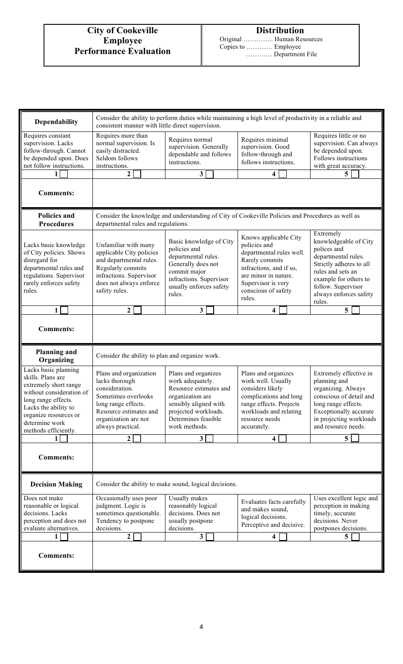Original ………….. Human Resources Copies to ………… Employee ………… Department File

| Dependability                                                                                                                                                                                                    | Consider the ability to perform duties while maintaining a high level of productivity in a reliable and<br>consistent manner with little direct supervision.                                                                                                                                                                                    |                                                                                                                                                                                |                                                                                                                                                                                                                                                                                                                                                                                                              |                                                                                                                                                                                            |  |
|------------------------------------------------------------------------------------------------------------------------------------------------------------------------------------------------------------------|-------------------------------------------------------------------------------------------------------------------------------------------------------------------------------------------------------------------------------------------------------------------------------------------------------------------------------------------------|--------------------------------------------------------------------------------------------------------------------------------------------------------------------------------|--------------------------------------------------------------------------------------------------------------------------------------------------------------------------------------------------------------------------------------------------------------------------------------------------------------------------------------------------------------------------------------------------------------|--------------------------------------------------------------------------------------------------------------------------------------------------------------------------------------------|--|
| Requires constant<br>supervision. Lacks<br>follow-through. Cannot<br>be depended upon. Does<br>not follow instructions.                                                                                          | Requires more than<br>normal supervision. Is<br>easily distracted.<br>Seldom follows<br>instructions.                                                                                                                                                                                                                                           | Requires normal<br>supervision. Generally<br>dependable and follows<br>instructions.                                                                                           | Requires minimal<br>supervision. Good<br>follow-through and<br>follows instructions.                                                                                                                                                                                                                                                                                                                         | Requires little or no<br>supervision. Can always<br>be depended upon.<br>Follows instructions<br>with great accuracy.                                                                      |  |
| 1                                                                                                                                                                                                                | $\overline{2}$                                                                                                                                                                                                                                                                                                                                  | $\overline{\mathbf{3}}$                                                                                                                                                        | 4                                                                                                                                                                                                                                                                                                                                                                                                            | 5 <sup>5</sup>                                                                                                                                                                             |  |
| <b>Comments:</b>                                                                                                                                                                                                 |                                                                                                                                                                                                                                                                                                                                                 |                                                                                                                                                                                |                                                                                                                                                                                                                                                                                                                                                                                                              |                                                                                                                                                                                            |  |
| <b>Policies and</b><br><b>Procedures</b>                                                                                                                                                                         | departmental rules and regulations.                                                                                                                                                                                                                                                                                                             |                                                                                                                                                                                | Consider the knowledge and understanding of City of Cookeville Policies and Procedures as well as                                                                                                                                                                                                                                                                                                            |                                                                                                                                                                                            |  |
| Lacks basic knowledge<br>of City policies. Shows<br>disregard for<br>departmental rules and<br>regulations. Supervisor<br>rarely enforces safety<br>rules.                                                       | Basic knowledge of City<br>Unfamiliar with many<br>policies and<br>applicable City policies<br>departmental rules.<br>and departmental rules.<br>Generally does not<br>Regularly commits<br>commit major<br>infractions. Supervisor<br>infractions. Supervisor<br>does not always enforce<br>usually enforces safety<br>safety rules.<br>rules. |                                                                                                                                                                                | Extremely<br>Knows applicable City<br>knowledgeable of City<br>policies and<br>polices and<br>departmental rules well.<br>departmental rules.<br>Rarely commits<br>Strictly adheres to all<br>infractions, and if so,<br>rules and sets an<br>are minor in nature.<br>example for others to<br>Supervisor is very<br>follow. Supervisor<br>conscious of safety<br>always enforces safety<br>rules.<br>rules. |                                                                                                                                                                                            |  |
| 1                                                                                                                                                                                                                | $\overline{2}$                                                                                                                                                                                                                                                                                                                                  | $\overline{\mathbf{3}}$                                                                                                                                                        | 4                                                                                                                                                                                                                                                                                                                                                                                                            | 5                                                                                                                                                                                          |  |
| <b>Comments:</b>                                                                                                                                                                                                 |                                                                                                                                                                                                                                                                                                                                                 |                                                                                                                                                                                |                                                                                                                                                                                                                                                                                                                                                                                                              |                                                                                                                                                                                            |  |
| <b>Planning and</b><br>Organizing                                                                                                                                                                                | Consider the ability to plan and organize work.                                                                                                                                                                                                                                                                                                 |                                                                                                                                                                                |                                                                                                                                                                                                                                                                                                                                                                                                              |                                                                                                                                                                                            |  |
| Lacks basic planning<br>skills. Plans are<br>extremely short range<br>without consideration of<br>long range effects.<br>Lacks the ability to<br>organize resources or<br>determine work<br>methods efficiently. | Plans and organization<br>lacks thorough<br>consideration.<br>Sometimes overlooks<br>long range effects.<br>Resource estimates and<br>organization are not<br>always practical.                                                                                                                                                                 | Plans and organizes<br>work adequately.<br>Resource estimates and<br>organization are<br>sensibly aligned with<br>projected workloads.<br>Determines feasible<br>work methods. | Plans and organizes<br>work well. Usually<br>considers likely<br>complications and long<br>range effects. Projects<br>workloads and relating<br>resource needs<br>accurately.                                                                                                                                                                                                                                | Extremely effective in<br>planning and<br>organizing. Always<br>conscious of detail and<br>long range effects.<br>Exceptionally accurate<br>in projecting workloads<br>and resource needs. |  |
|                                                                                                                                                                                                                  | $\mathbf{2}$                                                                                                                                                                                                                                                                                                                                    | $\overline{\mathbf{3}}$                                                                                                                                                        | 4                                                                                                                                                                                                                                                                                                                                                                                                            | 5                                                                                                                                                                                          |  |
| <b>Comments:</b>                                                                                                                                                                                                 |                                                                                                                                                                                                                                                                                                                                                 |                                                                                                                                                                                |                                                                                                                                                                                                                                                                                                                                                                                                              |                                                                                                                                                                                            |  |
| <b>Decision Making</b>                                                                                                                                                                                           | Consider the ability to make sound, logical decisions.                                                                                                                                                                                                                                                                                          |                                                                                                                                                                                |                                                                                                                                                                                                                                                                                                                                                                                                              |                                                                                                                                                                                            |  |
| Does not make<br>reasonable or logical<br>decisions. Lacks<br>perception and does not<br>evaluate alternatives.                                                                                                  | Occasionally uses poor<br>judgment. Logic is<br>sometimes questionable.<br>Tendency to postpone<br>decisions.<br>$\boldsymbol{2}$                                                                                                                                                                                                               | Usually makes<br>reasonably logical<br>decisions. Does not<br>usually postpone<br>decisions.<br>$\mathbf{3}$                                                                   | Evaluates facts carefully<br>and makes sound,<br>logical decisions.<br>Perceptive and decisive.<br>4                                                                                                                                                                                                                                                                                                         | Uses excellent logic and<br>perception in making<br>timely, accurate<br>decisions. Never<br>postpones decisions.<br>5 <sup>5</sup>                                                         |  |
| <b>Comments:</b>                                                                                                                                                                                                 |                                                                                                                                                                                                                                                                                                                                                 |                                                                                                                                                                                |                                                                                                                                                                                                                                                                                                                                                                                                              |                                                                                                                                                                                            |  |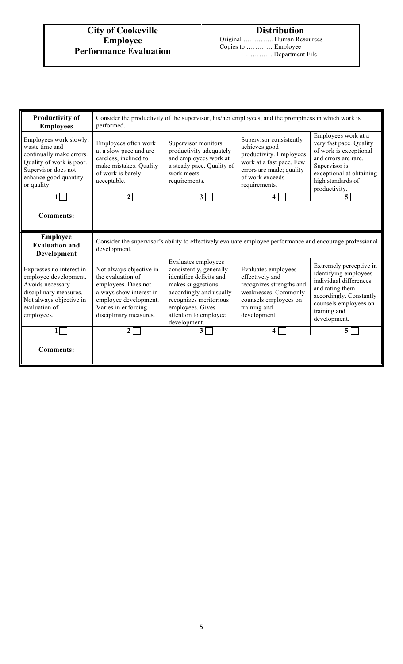Original ………….. Human Resources Copies to ………… Employee ………… Department File

| <b>Productivity of</b><br><b>Employees</b>                                                                                                                      | Consider the productivity of the supervisor, his/her employees, and the promptness in which work is<br>performed.                                                                                                                                                                                                                                                                            |                                                                                                                                     |                                                                                                                                                                 |                                                                                                                                                                                     |  |
|-----------------------------------------------------------------------------------------------------------------------------------------------------------------|----------------------------------------------------------------------------------------------------------------------------------------------------------------------------------------------------------------------------------------------------------------------------------------------------------------------------------------------------------------------------------------------|-------------------------------------------------------------------------------------------------------------------------------------|-----------------------------------------------------------------------------------------------------------------------------------------------------------------|-------------------------------------------------------------------------------------------------------------------------------------------------------------------------------------|--|
| Employees work slowly,<br>waste time and<br>continually make errors.<br>Quality of work is poor.<br>Supervisor does not<br>enhance good quantity<br>or quality. | Employees often work<br>at a slow pace and are<br>careless, inclined to<br>make mistakes. Quality<br>of work is barely<br>acceptable.                                                                                                                                                                                                                                                        | Supervisor monitors<br>productivity adequately<br>and employees work at<br>a steady pace. Quality of<br>work meets<br>requirements. | Supervisor consistently<br>achieves good<br>productivity. Employees<br>work at a fast pace. Few<br>errors are made; quality<br>of work exceeds<br>requirements. | Employees work at a<br>very fast pace. Quality<br>of work is exceptional<br>and errors are rare.<br>Supervisor is<br>exceptional at obtaining<br>high standards of<br>productivity. |  |
| 1                                                                                                                                                               | $\mathbf{2}$                                                                                                                                                                                                                                                                                                                                                                                 | $\mathbf{3}$                                                                                                                        | 4                                                                                                                                                               | 5                                                                                                                                                                                   |  |
| <b>Comments:</b>                                                                                                                                                |                                                                                                                                                                                                                                                                                                                                                                                              |                                                                                                                                     |                                                                                                                                                                 |                                                                                                                                                                                     |  |
| Employee<br><b>Evaluation and</b><br>Development                                                                                                                | Consider the supervisor's ability to effectively evaluate employee performance and encourage professional<br>development.                                                                                                                                                                                                                                                                    |                                                                                                                                     |                                                                                                                                                                 |                                                                                                                                                                                     |  |
| Expresses no interest in<br>employee development.<br>Avoids necessary<br>disciplinary measures.<br>Not always objective in<br>evaluation of<br>employees.       | Evaluates employees<br>Not always objective in<br>consistently, generally<br>the evaluation of<br>identifies deficits and<br>employees. Does not<br>makes suggestions<br>always show interest in<br>accordingly and usually<br>recognizes meritorious<br>employee development.<br>Varies in enforcing<br>employees. Gives<br>disciplinary measures.<br>attention to employee<br>development. |                                                                                                                                     | Evaluates employees<br>effectively and<br>recognizes strengths and<br>weaknesses. Commonly<br>counsels employees on<br>training and<br>development.             | Extremely perceptive in<br>identifying employees<br>individual differences<br>and rating them<br>accordingly. Constantly<br>counsels employees on<br>training and<br>development.   |  |
| 1                                                                                                                                                               | 2                                                                                                                                                                                                                                                                                                                                                                                            | 3 <sup>1</sup>                                                                                                                      | 4                                                                                                                                                               | 5 <sup>1</sup>                                                                                                                                                                      |  |
| <b>Comments:</b>                                                                                                                                                |                                                                                                                                                                                                                                                                                                                                                                                              |                                                                                                                                     |                                                                                                                                                                 |                                                                                                                                                                                     |  |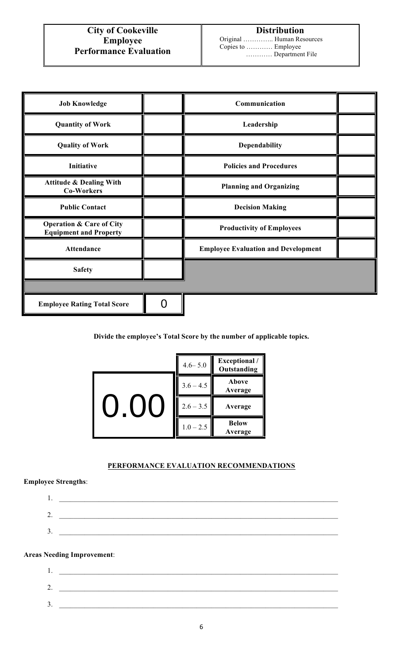| <b>Job Knowledge</b>                                                 | Communication                              |  |
|----------------------------------------------------------------------|--------------------------------------------|--|
| <b>Quantity of Work</b>                                              | Leadership                                 |  |
| <b>Quality of Work</b>                                               | Dependability                              |  |
| Initiative                                                           | <b>Policies and Procedures</b>             |  |
| <b>Attitude &amp; Dealing With</b><br><b>Co-Workers</b>              | <b>Planning and Organizing</b>             |  |
| <b>Public Contact</b>                                                | <b>Decision Making</b>                     |  |
| <b>Operation &amp; Care of City</b><br><b>Equipment and Property</b> | <b>Productivity of Employees</b>           |  |
| <b>Attendance</b>                                                    | <b>Employee Evaluation and Development</b> |  |
| <b>Safety</b>                                                        |                                            |  |
|                                                                      |                                            |  |
| <b>Employee Rating Total Score</b>                                   |                                            |  |

**Divide the employee's Total Score by the number of applicable topics.**

|  | $4.6 - 5.0$ | <b>Exceptional</b> /<br>Outstanding |
|--|-------------|-------------------------------------|
|  | $3.6 - 4.5$ | Above<br>Average                    |
|  | $2.6 - 3.5$ | Average                             |
|  | $1.0 - 2.5$ | <b>Below</b><br>Average             |

### **PERFORMANCE EVALUATION RECOMMENDATIONS**

### **Employee Strengths**:

| . .     |  |
|---------|--|
| ⌒<br>∠. |  |
| J.      |  |

### **Areas Needing Improvement**:

| 1.  |                                               |  |  |
|-----|-----------------------------------------------|--|--|
| Z., | <u> 1989 - Andrea Andrew Maria (h. 1989).</u> |  |  |
| ٥.  |                                               |  |  |
|     |                                               |  |  |